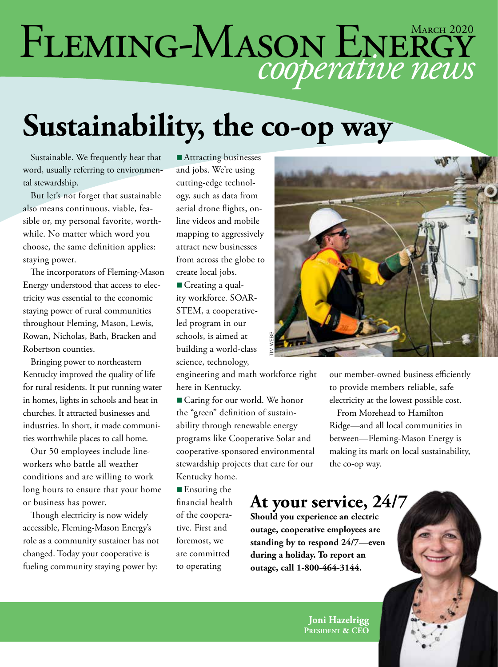# FLEMING-MASON ENERGY

### **Sustainability, the co-op way**

Sustainable. We frequently hear that word, usually referring to environmental stewardship.

But let's not forget that sustainable also means continuous, viable, feasible or, my personal favorite, worthwhile. No matter which word you choose, the same definition applies: staying power.

The incorporators of Fleming-Mason Energy understood that access to electricity was essential to the economic staying power of rural communities throughout Fleming, Mason, Lewis, Rowan, Nicholas, Bath, Bracken and Robertson counties.

Bringing power to northeastern Kentucky improved the quality of life for rural residents. It put running water in homes, lights in schools and heat in churches. It attracted businesses and industries. In short, it made communities worthwhile places to call home.

Our 50 employees include lineworkers who battle all weather conditions and are willing to work long hours to ensure that your home or business has power.

Though electricity is now widely accessible, Fleming-Mason Energy's role as a community sustainer has not changed. Today your cooperative is fueling community staying power by:

■ Attracting businesses and jobs. We're using cutting-edge technology, such as data from aerial drone flights, online videos and mobile mapping to aggressively attract new businesses from across the globe to create local jobs.

■ Creating a quality workforce. SOAR-STEM, a cooperativeled program in our schools, is aimed at building a world-class science, technology,

engineering and math workforce right here in Kentucky.

■ Caring for our world. We honor the "green" definition of sustainability through renewable energy programs like Cooperative Solar and cooperative-sponsored environmental stewardship projects that care for our Kentucky home.

 $\blacksquare$  Ensuring the financial health of the cooperative. First and foremost, we are committed to operating



our member-owned business efficiently to provide members reliable, safe electricity at the lowest possible cost.

From Morehead to Hamilton Ridge—and all local communities in between—Fleming-Mason Energy is making its mark on local sustainability, the co-op way.

#### **At your service, 24/7**

**Should you experience an electric outage, cooperative employees are standing by to respond 24/7—even during a holiday. To report an**  ss<br>
se all the workforce right<br>
our mem<br>
to provid<br>
rative honor<br>
wable energy<br>
erative Solar and<br>
between-<br>
ed environmental<br>
making i<br>
that care for our the co-op<br> **At your service**<br>
Should you experience an ele<br>
outage,

> **Joni Hazelrigg President & CEO**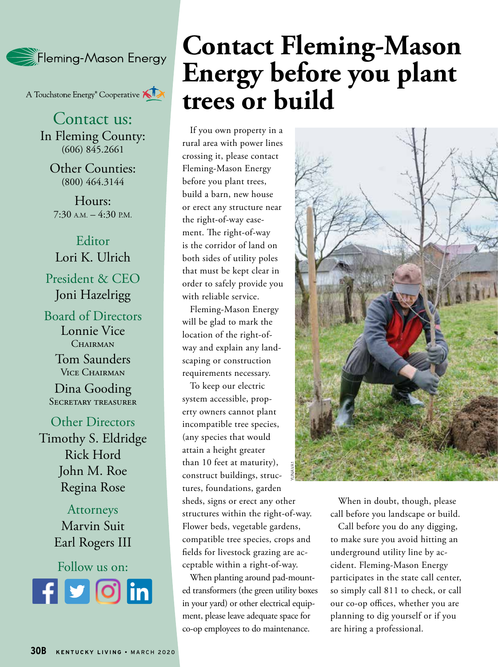

A Touchstone Energy<sup>®</sup> Cooperative A

Contact us: In Fleming County: (606) 845.2661

Other Counties: (800) 464.3144

Hours:  $7:30$  A.M.  $-4:30$  P.M.

Editor Lori K. Ulrich President & CEO Joni Hazelrigg

Board of Directors Lonnie Vice CHAIRMAN

> Tom Saunders Vice Chairman

Dina Gooding Secretary treasurer

Other Directors Timothy S. Eldridge Rick Hord John M. Roe Regina Rose

> Attorneys Marvin Suit Earl Rogers III



#### **Contact Fleming-Mason Energy before you plant trees or build**

If you own property in a rural area with power lines crossing it, please contact Fleming-Mason Energy before you plant trees, build a barn, new house or erect any structure near the right-of-way easement. The right-of-way is the corridor of land on both sides of utility poles that must be kept clear in order to safely provide you with reliable service.

Fleming-Mason Energy will be glad to mark the location of the right-ofway and explain any landscaping or construction requirements necessary.

To keep our electric system accessible, property owners cannot plant incompatible tree species, (any species that would attain a height greater than 10 feet at maturity), construct buildings, structures, foundations, garden sheds, signs or erect any other structures within the right-of-way. Flower beds, vegetable gardens, compatible tree species, crops and fields for livestock grazing are acceptable within a right-of-way. YUNAVA1

When planting around pad-mounted transformers (the green utility boxes in your yard) or other electrical equipment, please leave adequate space for co-op employees to do maintenance.



When in doubt, though, please call before you landscape or build.

Call before you do any digging, to make sure you avoid hitting an underground utility line by accident. Fleming-Mason Energy participates in the state call center, so simply call 811 to check, or call our co-op offices, whether you are planning to dig yourself or if you are hiring a professional.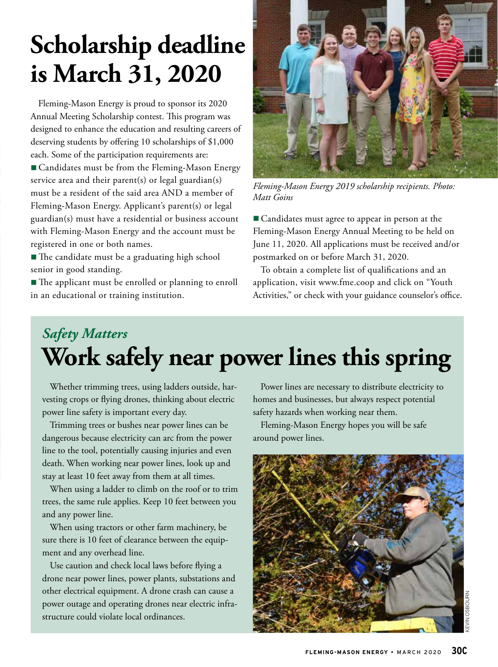#### **Scholarship deadline is March 31, 2020**

Fleming-Mason Energy is proud to sponsor its 2020 Annual Meeting Scholarship contest. This program was designed to enhance the education and resulting careers of deserving students by offering 10 scholarships of \$1,000 each. Some of the participation requirements are: ■ Candidates must be from the Fleming-Mason Energy service area and their parent(s) or legal guardian(s) must be a resident of the said area AND a member of Fleming-Mason Energy. Applicant's parent(s) or legal guardian(s) must have a residential or business account with Fleming-Mason Energy and the account must be registered in one or both names.

■ The candidate must be a graduating high school senior in good standing.

■ The applicant must be enrolled or planning to enroll in an educational or training institution.



*Fleming-Mason Energy 2019 scholarship recipients. Photo: Matt Goins*

■ Candidates must agree to appear in person at the Fleming-Mason Energy Annual Meeting to be held on June 11, 2020. All applications must be received and/or postmarked on or before March 31, 2020.

To obtain a complete list of qualifications and an application, visit www.fme.coop and click on "Youth Activities," or check with your guidance counselor's office.

#### *Safety Matters* **Work safely near power lines this spring**

Whether trimming trees, using ladders outside, harvesting crops or flying drones, thinking about electric power line safety is important every day.

Trimming trees or bushes near power lines can be dangerous because electricity can arc from the power line to the tool, potentially causing injuries and even death. When working near power lines, look up and stay at least 10 feet away from them at all times.

When using a ladder to climb on the roof or to trim trees, the same rule applies. Keep 10 feet between you and any power line.

When using tractors or other farm machinery, be sure there is 10 feet of clearance between the equipment and any overhead line.

Use caution and check local laws before flying a drone near power lines, power plants, substations and other electrical equipment. A drone crash can cause a power outage and operating drones near electric infrastructure could violate local ordinances.

Power lines are necessary to distribute electricity to homes and businesses, but always respect potential safety hazards when working near them.

Fleming-Mason Energy hopes you will be safe around power lines.